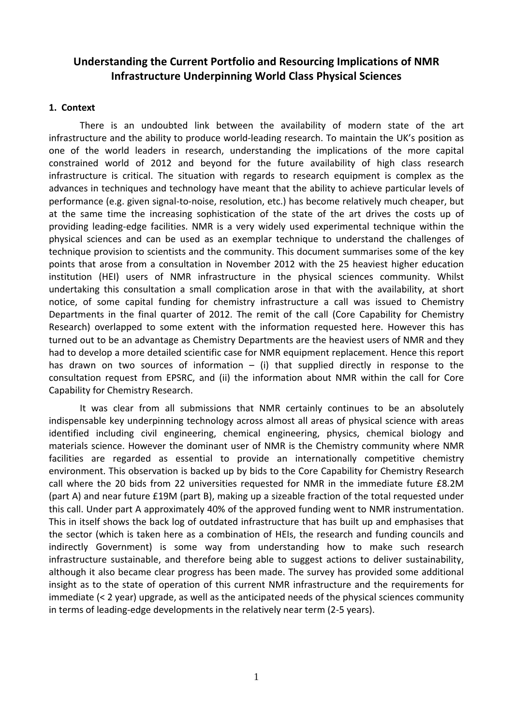# **Understanding the Current Portfolio and Resourcing Implications of NMR Infrastructure Underpinning World Class Physical Sciences**

## **1. Context**

 There is an undoubted link between the availability of modern state of the art infrastructure and the ability to produce world-leading research. To maintain the UK's position as one of the world leaders in research, understanding the implications of the more capital constrained world of 2012 and beyond for the future availability of high class research infrastructure is critical. The situation with regards to research equipment is complex as the advances in techniques and technology have meant that the ability to achieve particular levels of performance (e.g. given signal-to-noise, resolution, etc.) has become relatively much cheaper, but at the same time the increasing sophistication of the state of the art drives the costs up of providing leading-edge facilities. NMR is a very widely used experimental technique within the physical sciences and can be used as an exemplar technique to understand the challenges of technique provision to scientists and the community. This document summarises some of the key points that arose from a consultation in November 2012 with the 25 heaviest higher education institution (HEI) users of NMR infrastructure in the physical sciences community. Whilst undertaking this consultation a small complication arose in that with the availability, at short notice, of some capital funding for chemistry infrastructure a call was issued to Chemistry Departments in the final quarter of 2012. The remit of the call (Core Capability for Chemistry Research) overlapped to some extent with the information requested here. However this has turned out to be an advantage as Chemistry Departments are the heaviest users of NMR and they had to develop a more detailed scientific case for NMR equipment replacement. Hence this report has drawn on two sources of information  $-$  (i) that supplied directly in response to the consultation request from EPSRC, and (ii) the information about NMR within the call for Core Capability for Chemistry Research.

It was clear from all submissions that NMR certainly continues to be an absolutely indispensable key underpinning technology across almost all areas of physical science with areas identified including civil engineering, chemical engineering, physics, chemical biology and materials science. However the dominant user of NMR is the Chemistry community where NMR facilities are regarded as essential to provide an internationally competitive chemistry environment. This observation is backed up by bids to the Core Capability for Chemistry Research call where the 20 bids from 22 universities requested for NMR in the immediate future £8.2M (part A) and near future £19M (part B), making up a sizeable fraction of the total requested under this call. Under part A approximately 40% of the approved funding went to NMR instrumentation. This in itself shows the back log of outdated infrastructure that has built up and emphasises that the sector (which is taken here as a combination of HEIs, the research and funding councils and indirectly Government) is some way from understanding how to make such research infrastructure sustainable, and therefore being able to suggest actions to deliver sustainability, although it also became clear progress has been made. The survey has provided some additional insight as to the state of operation of this current NMR infrastructure and the requirements for immediate (< 2 year) upgrade, as well as the anticipated needs of the physical sciences community in terms of leading-edge developments in the relatively near term (2-5 years).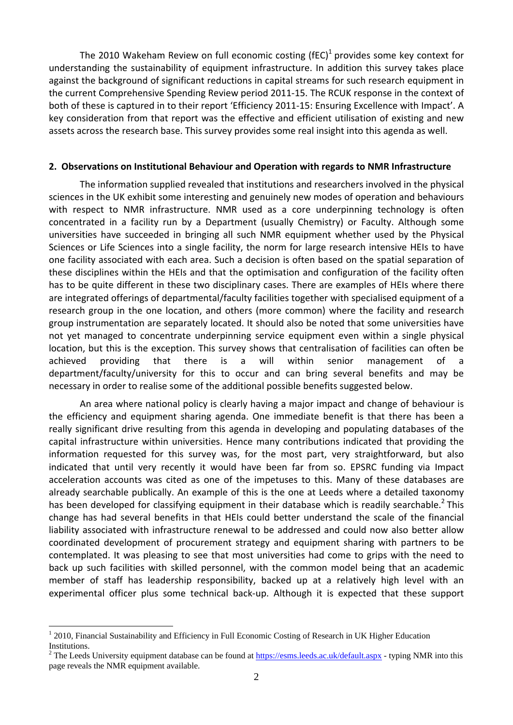The 2010 Wakeham Review on full economic costing (fEC)<sup>1</sup> provides some key context for understanding the sustainability of equipment infrastructure. In addition this survey takes place against the background of significant reductions in capital streams for such research equipment in the current Comprehensive Spending Review period 2011-15. The RCUK response in the context of both of these is captured in to their report 'Efficiency 2011-15: Ensuring Excellence with Impact'. A key consideration from that report was the effective and efficient utilisation of existing and new assets across the research base. This survey provides some real insight into this agenda as well.

#### **2. Observations on Institutional Behaviour and Operation with regards to NMR Infrastructure**

The information supplied revealed that institutions and researchers involved in the physical sciences in the UK exhibit some interesting and genuinely new modes of operation and behaviours with respect to NMR infrastructure. NMR used as a core underpinning technology is often concentrated in a facility run by a Department (usually Chemistry) or Faculty. Although some universities have succeeded in bringing all such NMR equipment whether used by the Physical Sciences or Life Sciences into a single facility, the norm for large research intensive HEIs to have one facility associated with each area. Such a decision is often based on the spatial separation of these disciplines within the HEIs and that the optimisation and configuration of the facility often has to be quite different in these two disciplinary cases. There are examples of HEIs where there are integrated offerings of departmental/faculty facilities together with specialised equipment of a research group in the one location, and others (more common) where the facility and research group instrumentation are separately located. It should also be noted that some universities have not yet managed to concentrate underpinning service equipment even within a single physical location, but this is the exception. This survey shows that centralisation of facilities can often be achieved providing that there is a will within senior management of a department/faculty/university for this to occur and can bring several benefits and may be necessary in order to realise some of the additional possible benefits suggested below.

An area where national policy is clearly having a major impact and change of behaviour is the efficiency and equipment sharing agenda. One immediate benefit is that there has been a really significant drive resulting from this agenda in developing and populating databases of the capital infrastructure within universities. Hence many contributions indicated that providing the information requested for this survey was, for the most part, very straightforward, but also indicated that until very recently it would have been far from so. EPSRC funding via Impact acceleration accounts was cited as one of the impetuses to this. Many of these databases are already searchable publically. An example of this is the one at Leeds where a detailed taxonomy has been developed for classifying equipment in their database which is readily searchable.<sup>2</sup> This change has had several benefits in that HEIs could better understand the scale of the financial liability associated with infrastructure renewal to be addressed and could now also better allow coordinated development of procurement strategy and equipment sharing with partners to be contemplated. It was pleasing to see that most universities had come to grips with the need to back up such facilities with skilled personnel, with the common model being that an academic member of staff has leadership responsibility, backed up at a relatively high level with an experimental officer plus some technical back-up. Although it is expected that these support

 $\overline{a}$ 

<sup>&</sup>lt;sup>1</sup> 2010, Financial Sustainability and Efficiency in Full Economic Costing of Research in UK Higher Education Institutions.

<sup>&</sup>lt;sup>2</sup> The Leeds University equipment database can be found at  $\frac{https://esms.leeds.ac.uk/default-aspx}{https://esms.leeds.ac.uk/default-aspx}$  - typing NMR into this page reveals the NMR equipment available.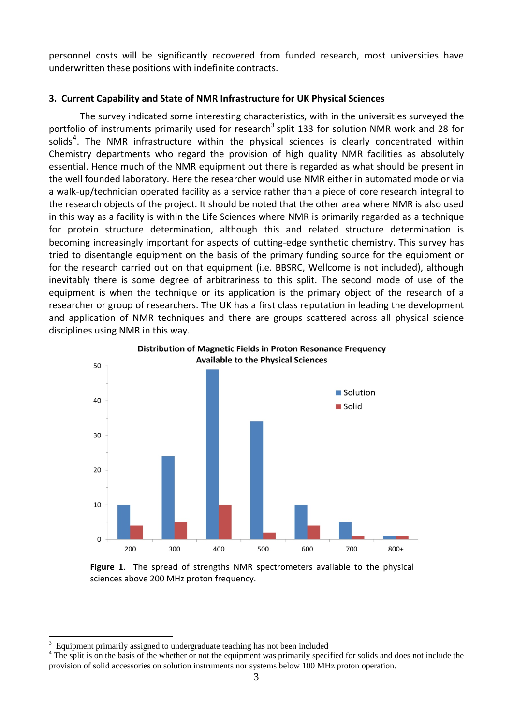personnel costs will be significantly recovered from funded research, most universities have underwritten these positions with indefinite contracts.

### **3. Current Capability and State of NMR Infrastructure for UK Physical Sciences**

 The survey indicated some interesting characteristics, with in the universities surveyed the portfolio of instruments primarily used for research<sup>3</sup> split 133 for solution NMR work and 28 for solids<sup>4</sup>. The NMR infrastructure within the physical sciences is clearly concentrated within Chemistry departments who regard the provision of high quality NMR facilities as absolutely essential. Hence much of the NMR equipment out there is regarded as what should be present in the well founded laboratory. Here the researcher would use NMR either in automated mode or via a walk-up/technician operated facility as a service rather than a piece of core research integral to the research objects of the project. It should be noted that the other area where NMR is also used in this way as a facility is within the Life Sciences where NMR is primarily regarded as a technique for protein structure determination, although this and related structure determination is becoming increasingly important for aspects of cutting-edge synthetic chemistry. This survey has tried to disentangle equipment on the basis of the primary funding source for the equipment or for the research carried out on that equipment (i.e. BBSRC, Wellcome is not included), although inevitably there is some degree of arbitrariness to this split. The second mode of use of the equipment is when the technique or its application is the primary object of the research of a researcher or group of researchers. The UK has a first class reputation in leading the development and application of NMR techniques and there are groups scattered across all physical science disciplines using NMR in this way.



**Distribution of Magnetic Fields in Proton Resonance Frequency Available to the Physical Sciences** 

**Figure 1**. The spread of strengths NMR spectrometers available to the physical sciences above 200 MHz proton frequency.

 $\overline{a}$ 

<sup>3</sup> Equipment primarily assigned to undergraduate teaching has not been included 4

<sup>&</sup>lt;sup>4</sup> The split is on the basis of the whether or not the equipment was primarily specified for solids and does not include the provision of solid accessories on solution instruments nor systems below 100 MHz proton operation.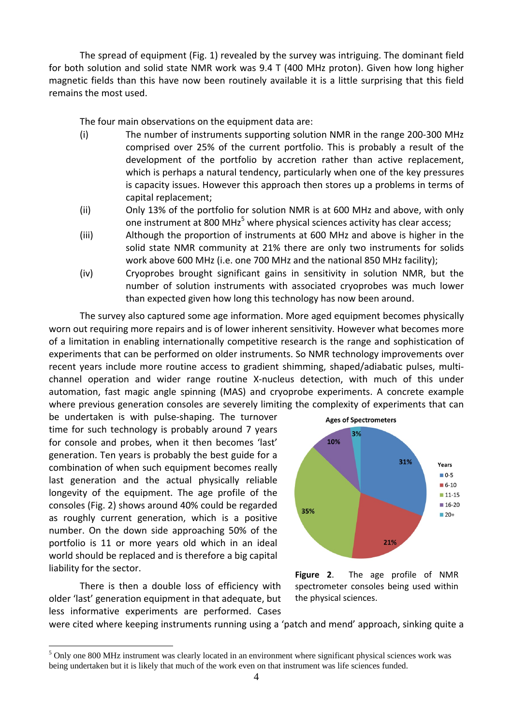The spread of equipment (Fig. 1) revealed by the survey was intriguing. The dominant field for both solution and solid state NMR work was 9.4 T (400 MHz proton). Given how long higher magnetic fields than this have now been routinely available it is a little surprising that this field remains the most used.

The four main observations on the equipment data are:

- (i) The number of instruments supporting solution NMR in the range 200-300 MHz comprised over 25% of the current portfolio. This is probably a result of the development of the portfolio by accretion rather than active replacement, which is perhaps a natural tendency, particularly when one of the key pressures is capacity issues. However this approach then stores up a problems in terms of capital replacement;
- (ii) Only 13% of the portfolio for solution NMR is at 600 MHz and above, with only one instrument at 800 MHz<sup>5</sup> where physical sciences activity has clear access;
- (iii) Although the proportion of instruments at 600 MHz and above is higher in the solid state NMR community at 21% there are only two instruments for solids work above 600 MHz (i.e. one 700 MHz and the national 850 MHz facility);
- (iv) Cryoprobes brought significant gains in sensitivity in solution NMR, but the number of solution instruments with associated cryoprobes was much lower than expected given how long this technology has now been around.

The survey also captured some age information. More aged equipment becomes physically worn out requiring more repairs and is of lower inherent sensitivity. However what becomes more of a limitation in enabling internationally competitive research is the range and sophistication of experiments that can be performed on older instruments. So NMR technology improvements over recent years include more routine access to gradient shimming, shaped/adiabatic pulses, multichannel operation and wider range routine X-nucleus detection, with much of this under automation, fast magic angle spinning (MAS) and cryoprobe experiments. A concrete example where previous generation consoles are severely limiting the complexity of experiments that can

be undertaken is with pulse-shaping. The turnover time for such technology is probably around 7 years for console and probes, when it then becomes 'last' generation. Ten years is probably the best guide for a combination of when such equipment becomes really last generation and the actual physically reliable longevity of the equipment. The age profile of the consoles (Fig. 2) shows around 40% could be regarded as roughly current generation, which is a positive number. On the down side approaching 50% of the portfolio is 11 or more years old which in an ideal world should be replaced and is therefore a big capital liability for the sector.

There is then a double loss of efficiency with older 'last' generation equipment in that adequate, but less informative experiments are performed. Cases

 $\overline{a}$ 





were cited where keeping instruments running using a 'patch and mend' approach, sinking quite a

<sup>&</sup>lt;sup>5</sup> Only one 800 MHz instrument was clearly located in an environment where significant physical sciences work was being undertaken but it is likely that much of the work even on that instrument was life sciences funded.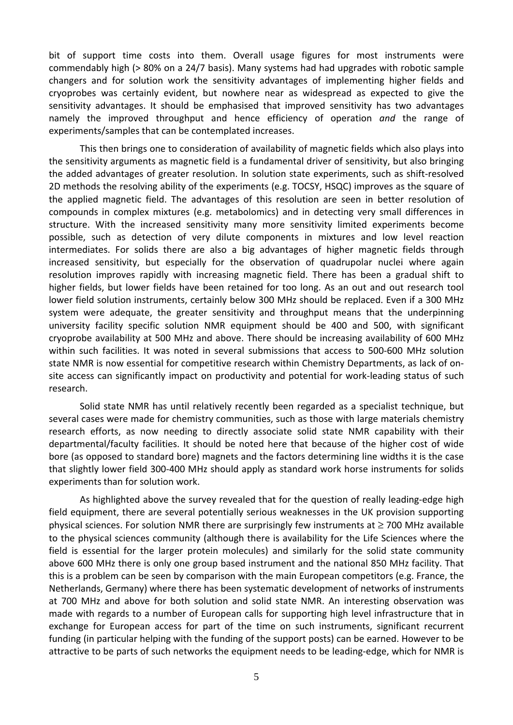bit of support time costs into them. Overall usage figures for most instruments were commendably high (> 80% on a 24/7 basis). Many systems had had upgrades with robotic sample changers and for solution work the sensitivity advantages of implementing higher fields and cryoprobes was certainly evident, but nowhere near as widespread as expected to give the sensitivity advantages. It should be emphasised that improved sensitivity has two advantages namely the improved throughput and hence efficiency of operation *and* the range of experiments/samples that can be contemplated increases.

 This then brings one to consideration of availability of magnetic fields which also plays into the sensitivity arguments as magnetic field is a fundamental driver of sensitivity, but also bringing the added advantages of greater resolution. In solution state experiments, such as shift-resolved 2D methods the resolving ability of the experiments (e.g. TOCSY, HSQC) improves as the square of the applied magnetic field. The advantages of this resolution are seen in better resolution of compounds in complex mixtures (e.g. metabolomics) and in detecting very small differences in structure. With the increased sensitivity many more sensitivity limited experiments become possible, such as detection of very dilute components in mixtures and low level reaction intermediates. For solids there are also a big advantages of higher magnetic fields through increased sensitivity, but especially for the observation of quadrupolar nuclei where again resolution improves rapidly with increasing magnetic field. There has been a gradual shift to higher fields, but lower fields have been retained for too long. As an out and out research tool lower field solution instruments, certainly below 300 MHz should be replaced. Even if a 300 MHz system were adequate, the greater sensitivity and throughput means that the underpinning university facility specific solution NMR equipment should be 400 and 500, with significant cryoprobe availability at 500 MHz and above. There should be increasing availability of 600 MHz within such facilities. It was noted in several submissions that access to 500-600 MHz solution state NMR is now essential for competitive research within Chemistry Departments, as lack of onsite access can significantly impact on productivity and potential for work-leading status of such research.

Solid state NMR has until relatively recently been regarded as a specialist technique, but several cases were made for chemistry communities, such as those with large materials chemistry research efforts, as now needing to directly associate solid state NMR capability with their departmental/faculty facilities. It should be noted here that because of the higher cost of wide bore (as opposed to standard bore) magnets and the factors determining line widths it is the case that slightly lower field 300-400 MHz should apply as standard work horse instruments for solids experiments than for solution work.

 As highlighted above the survey revealed that for the question of really leading-edge high field equipment, there are several potentially serious weaknesses in the UK provision supporting physical sciences. For solution NMR there are surprisingly few instruments at ≥ 700 MHz available to the physical sciences community (although there is availability for the Life Sciences where the field is essential for the larger protein molecules) and similarly for the solid state community above 600 MHz there is only one group based instrument and the national 850 MHz facility. That this is a problem can be seen by comparison with the main European competitors (e.g. France, the Netherlands, Germany) where there has been systematic development of networks of instruments at 700 MHz and above for both solution and solid state NMR. An interesting observation was made with regards to a number of European calls for supporting high level infrastructure that in exchange for European access for part of the time on such instruments, significant recurrent funding (in particular helping with the funding of the support posts) can be earned. However to be attractive to be parts of such networks the equipment needs to be leading-edge, which for NMR is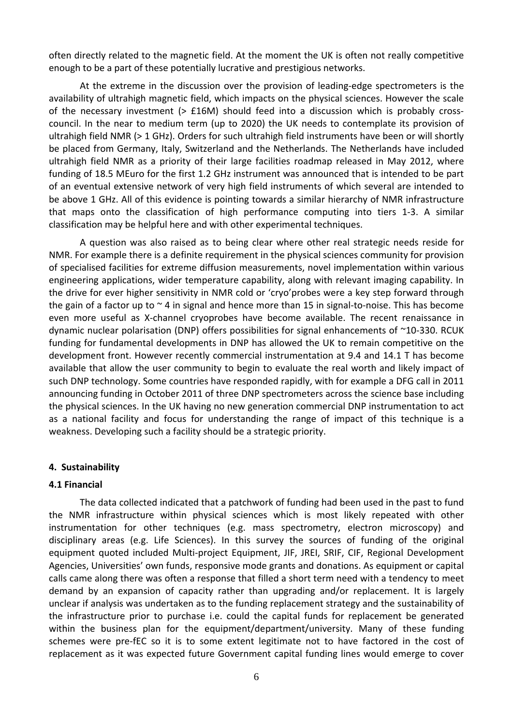often directly related to the magnetic field. At the moment the UK is often not really competitive enough to be a part of these potentially lucrative and prestigious networks.

At the extreme in the discussion over the provision of leading-edge spectrometers is the availability of ultrahigh magnetic field, which impacts on the physical sciences. However the scale of the necessary investment (> £16M) should feed into a discussion which is probably crosscouncil. In the near to medium term (up to 2020) the UK needs to contemplate its provision of ultrahigh field NMR (> 1 GHz). Orders for such ultrahigh field instruments have been or will shortly be placed from Germany, Italy, Switzerland and the Netherlands. The Netherlands have included ultrahigh field NMR as a priority of their large facilities roadmap released in May 2012, where funding of 18.5 MEuro for the first 1.2 GHz instrument was announced that is intended to be part of an eventual extensive network of very high field instruments of which several are intended to be above 1 GHz. All of this evidence is pointing towards a similar hierarchy of NMR infrastructure that maps onto the classification of high performance computing into tiers 1-3. A similar classification may be helpful here and with other experimental techniques.

A question was also raised as to being clear where other real strategic needs reside for NMR. For example there is a definite requirement in the physical sciences community for provision of specialised facilities for extreme diffusion measurements, novel implementation within various engineering applications, wider temperature capability, along with relevant imaging capability. In the drive for ever higher sensitivity in NMR cold or 'cryo'probes were a key step forward through the gain of a factor up to  $\sim$  4 in signal and hence more than 15 in signal-to-noise. This has become even more useful as X-channel cryoprobes have become available. The recent renaissance in dynamic nuclear polarisation (DNP) offers possibilities for signal enhancements of ~10-330. RCUK funding for fundamental developments in DNP has allowed the UK to remain competitive on the development front. However recently commercial instrumentation at 9.4 and 14.1 T has become available that allow the user community to begin to evaluate the real worth and likely impact of such DNP technology. Some countries have responded rapidly, with for example a DFG call in 2011 announcing funding in October 2011 of three DNP spectrometers across the science base including the physical sciences. In the UK having no new generation commercial DNP instrumentation to act as a national facility and focus for understanding the range of impact of this technique is a weakness. Developing such a facility should be a strategic priority.

## **4. Sustainability**

#### **4.1 Financial**

 The data collected indicated that a patchwork of funding had been used in the past to fund the NMR infrastructure within physical sciences which is most likely repeated with other instrumentation for other techniques (e.g. mass spectrometry, electron microscopy) and disciplinary areas (e.g. Life Sciences). In this survey the sources of funding of the original equipment quoted included Multi-project Equipment, JIF, JREI, SRIF, CIF, Regional Development Agencies, Universities' own funds, responsive mode grants and donations. As equipment or capital calls came along there was often a response that filled a short term need with a tendency to meet demand by an expansion of capacity rather than upgrading and/or replacement. It is largely unclear if analysis was undertaken as to the funding replacement strategy and the sustainability of the infrastructure prior to purchase i.e. could the capital funds for replacement be generated within the business plan for the equipment/department/university. Many of these funding schemes were pre-fEC so it is to some extent legitimate not to have factored in the cost of replacement as it was expected future Government capital funding lines would emerge to cover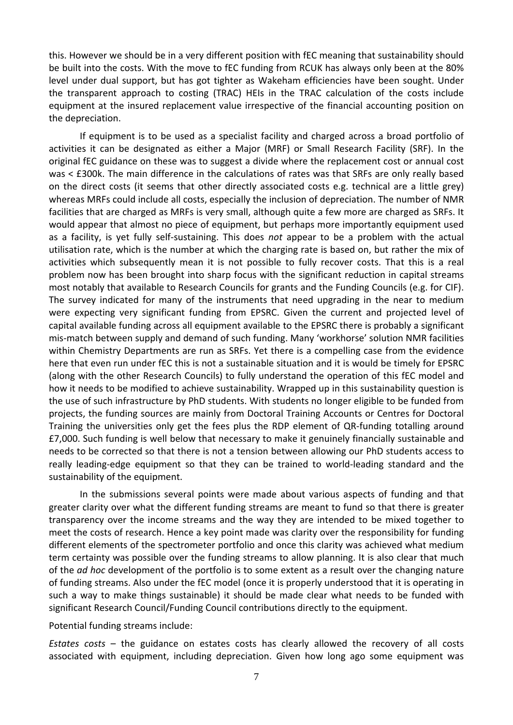this. However we should be in a very different position with fEC meaning that sustainability should be built into the costs. With the move to fEC funding from RCUK has always only been at the 80% level under dual support, but has got tighter as Wakeham efficiencies have been sought. Under the transparent approach to costing (TRAC) HEIs in the TRAC calculation of the costs include equipment at the insured replacement value irrespective of the financial accounting position on the depreciation.

If equipment is to be used as a specialist facility and charged across a broad portfolio of activities it can be designated as either a Major (MRF) or Small Research Facility (SRF). In the original fEC guidance on these was to suggest a divide where the replacement cost or annual cost was < £300k. The main difference in the calculations of rates was that SRFs are only really based on the direct costs (it seems that other directly associated costs e.g. technical are a little grey) whereas MRFs could include all costs, especially the inclusion of depreciation. The number of NMR facilities that are charged as MRFs is very small, although quite a few more are charged as SRFs. It would appear that almost no piece of equipment, but perhaps more importantly equipment used as a facility, is yet fully self-sustaining. This does *not* appear to be a problem with the actual utilisation rate, which is the number at which the charging rate is based on, but rather the mix of activities which subsequently mean it is not possible to fully recover costs. That this is a real problem now has been brought into sharp focus with the significant reduction in capital streams most notably that available to Research Councils for grants and the Funding Councils (e.g. for CIF). The survey indicated for many of the instruments that need upgrading in the near to medium were expecting very significant funding from EPSRC. Given the current and projected level of capital available funding across all equipment available to the EPSRC there is probably a significant mis-match between supply and demand of such funding. Many 'workhorse' solution NMR facilities within Chemistry Departments are run as SRFs. Yet there is a compelling case from the evidence here that even run under fEC this is not a sustainable situation and it is would be timely for EPSRC (along with the other Research Councils) to fully understand the operation of this fEC model and how it needs to be modified to achieve sustainability. Wrapped up in this sustainability question is the use of such infrastructure by PhD students. With students no longer eligible to be funded from projects, the funding sources are mainly from Doctoral Training Accounts or Centres for Doctoral Training the universities only get the fees plus the RDP element of QR-funding totalling around £7,000. Such funding is well below that necessary to make it genuinely financially sustainable and needs to be corrected so that there is not a tension between allowing our PhD students access to really leading-edge equipment so that they can be trained to world-leading standard and the sustainability of the equipment.

 In the submissions several points were made about various aspects of funding and that greater clarity over what the different funding streams are meant to fund so that there is greater transparency over the income streams and the way they are intended to be mixed together to meet the costs of research. Hence a key point made was clarity over the responsibility for funding different elements of the spectrometer portfolio and once this clarity was achieved what medium term certainty was possible over the funding streams to allow planning. It is also clear that much of the *ad hoc* development of the portfolio is to some extent as a result over the changing nature of funding streams. Also under the fEC model (once it is properly understood that it is operating in such a way to make things sustainable) it should be made clear what needs to be funded with significant Research Council/Funding Council contributions directly to the equipment.

Potential funding streams include:

*Estates costs* – the guidance on estates costs has clearly allowed the recovery of all costs associated with equipment, including depreciation. Given how long ago some equipment was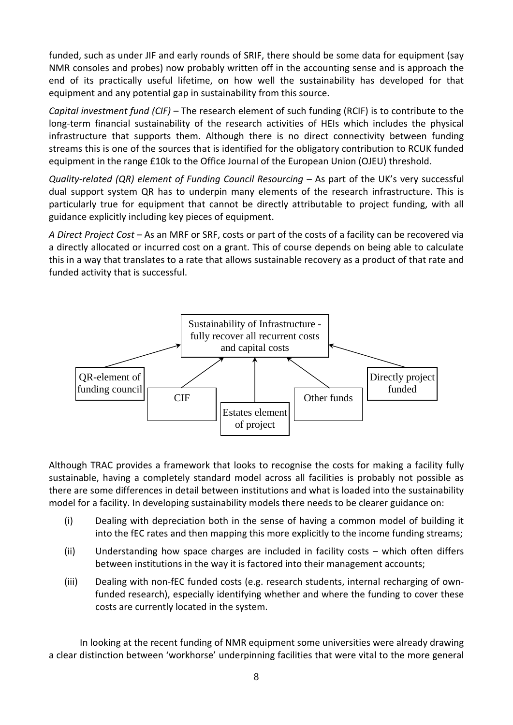funded, such as under JIF and early rounds of SRIF, there should be some data for equipment (say NMR consoles and probes) now probably written off in the accounting sense and is approach the end of its practically useful lifetime, on how well the sustainability has developed for that equipment and any potential gap in sustainability from this source.

*Capital investment fund (CIF)* – The research element of such funding (RCIF) is to contribute to the long-term financial sustainability of the research activities of HEIs which includes the physical infrastructure that supports them. Although there is no direct connectivity between funding streams this is one of the sources that is identified for the obligatory contribution to RCUK funded equipment in the range £10k to the Office Journal of the European Union (OJEU) threshold.

*Quality-related (QR) element of Funding Council Resourcing* – As part of the UK's very successful dual support system QR has to underpin many elements of the research infrastructure. This is particularly true for equipment that cannot be directly attributable to project funding, with all guidance explicitly including key pieces of equipment.

*A Direct Project Cost* – As an MRF or SRF, costs or part of the costs of a facility can be recovered via a directly allocated or incurred cost on a grant. This of course depends on being able to calculate this in a way that translates to a rate that allows sustainable recovery as a product of that rate and funded activity that is successful.



Although TRAC provides a framework that looks to recognise the costs for making a facility fully sustainable, having a completely standard model across all facilities is probably not possible as there are some differences in detail between institutions and what is loaded into the sustainability model for a facility. In developing sustainability models there needs to be clearer guidance on:

- (i) Dealing with depreciation both in the sense of having a common model of building it into the fEC rates and then mapping this more explicitly to the income funding streams;
- (ii) Understanding how space charges are included in facility costs which often differs between institutions in the way it is factored into their management accounts;
- (iii) Dealing with non-fEC funded costs (e.g. research students, internal recharging of ownfunded research), especially identifying whether and where the funding to cover these costs are currently located in the system.

In looking at the recent funding of NMR equipment some universities were already drawing a clear distinction between 'workhorse' underpinning facilities that were vital to the more general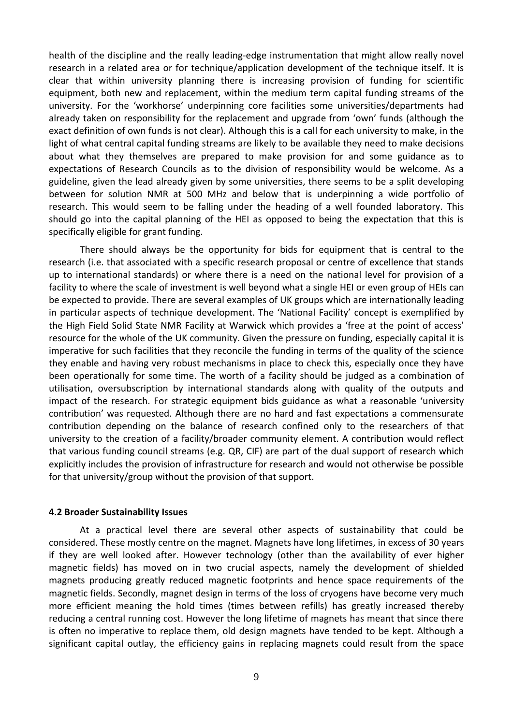health of the discipline and the really leading-edge instrumentation that might allow really novel research in a related area or for technique/application development of the technique itself. It is clear that within university planning there is increasing provision of funding for scientific equipment, both new and replacement, within the medium term capital funding streams of the university. For the 'workhorse' underpinning core facilities some universities/departments had already taken on responsibility for the replacement and upgrade from 'own' funds (although the exact definition of own funds is not clear). Although this is a call for each university to make, in the light of what central capital funding streams are likely to be available they need to make decisions about what they themselves are prepared to make provision for and some guidance as to expectations of Research Councils as to the division of responsibility would be welcome. As a guideline, given the lead already given by some universities, there seems to be a split developing between for solution NMR at 500 MHz and below that is underpinning a wide portfolio of research. This would seem to be falling under the heading of a well founded laboratory. This should go into the capital planning of the HEI as opposed to being the expectation that this is specifically eligible for grant funding.

There should always be the opportunity for bids for equipment that is central to the research (i.e. that associated with a specific research proposal or centre of excellence that stands up to international standards) or where there is a need on the national level for provision of a facility to where the scale of investment is well beyond what a single HEI or even group of HEIs can be expected to provide. There are several examples of UK groups which are internationally leading in particular aspects of technique development. The 'National Facility' concept is exemplified by the High Field Solid State NMR Facility at Warwick which provides a 'free at the point of access' resource for the whole of the UK community. Given the pressure on funding, especially capital it is imperative for such facilities that they reconcile the funding in terms of the quality of the science they enable and having very robust mechanisms in place to check this, especially once they have been operationally for some time. The worth of a facility should be judged as a combination of utilisation, oversubscription by international standards along with quality of the outputs and impact of the research. For strategic equipment bids guidance as what a reasonable 'university contribution' was requested. Although there are no hard and fast expectations a commensurate contribution depending on the balance of research confined only to the researchers of that university to the creation of a facility/broader community element. A contribution would reflect that various funding council streams (e.g. QR, CIF) are part of the dual support of research which explicitly includes the provision of infrastructure for research and would not otherwise be possible for that university/group without the provision of that support.

#### **4.2 Broader Sustainability Issues**

 At a practical level there are several other aspects of sustainability that could be considered. These mostly centre on the magnet. Magnets have long lifetimes, in excess of 30 years if they are well looked after. However technology (other than the availability of ever higher magnetic fields) has moved on in two crucial aspects, namely the development of shielded magnets producing greatly reduced magnetic footprints and hence space requirements of the magnetic fields. Secondly, magnet design in terms of the loss of cryogens have become very much more efficient meaning the hold times (times between refills) has greatly increased thereby reducing a central running cost. However the long lifetime of magnets has meant that since there is often no imperative to replace them, old design magnets have tended to be kept. Although a significant capital outlay, the efficiency gains in replacing magnets could result from the space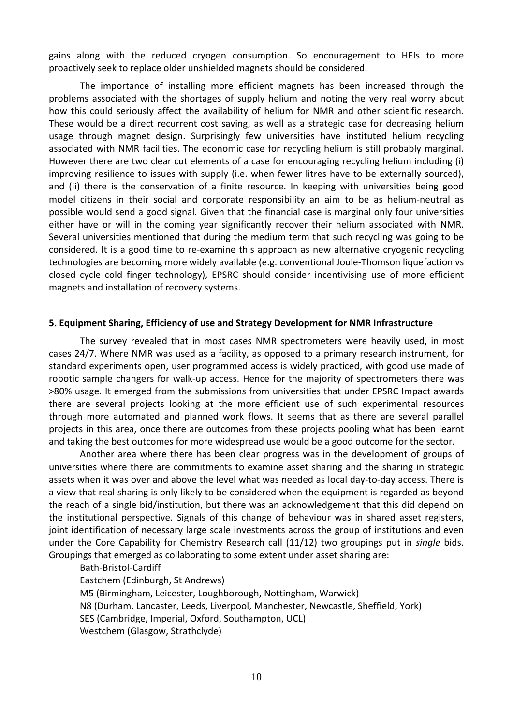gains along with the reduced cryogen consumption. So encouragement to HEIs to more proactively seek to replace older unshielded magnets should be considered.

The importance of installing more efficient magnets has been increased through the problems associated with the shortages of supply helium and noting the very real worry about how this could seriously affect the availability of helium for NMR and other scientific research. These would be a direct recurrent cost saving, as well as a strategic case for decreasing helium usage through magnet design. Surprisingly few universities have instituted helium recycling associated with NMR facilities. The economic case for recycling helium is still probably marginal. However there are two clear cut elements of a case for encouraging recycling helium including (i) improving resilience to issues with supply (i.e. when fewer litres have to be externally sourced), and (ii) there is the conservation of a finite resource. In keeping with universities being good model citizens in their social and corporate responsibility an aim to be as helium-neutral as possible would send a good signal. Given that the financial case is marginal only four universities either have or will in the coming year significantly recover their helium associated with NMR. Several universities mentioned that during the medium term that such recycling was going to be considered. It is a good time to re-examine this approach as new alternative cryogenic recycling technologies are becoming more widely available (e.g. conventional Joule-Thomson liquefaction vs closed cycle cold finger technology), EPSRC should consider incentivising use of more efficient magnets and installation of recovery systems.

#### **5. Equipment Sharing, Efficiency of use and Strategy Development for NMR Infrastructure**

 The survey revealed that in most cases NMR spectrometers were heavily used, in most cases 24/7. Where NMR was used as a facility, as opposed to a primary research instrument, for standard experiments open, user programmed access is widely practiced, with good use made of robotic sample changers for walk-up access. Hence for the majority of spectrometers there was >80% usage. It emerged from the submissions from universities that under EPSRC Impact awards there are several projects looking at the more efficient use of such experimental resources through more automated and planned work flows. It seems that as there are several parallel projects in this area, once there are outcomes from these projects pooling what has been learnt and taking the best outcomes for more widespread use would be a good outcome for the sector.

 Another area where there has been clear progress was in the development of groups of universities where there are commitments to examine asset sharing and the sharing in strategic assets when it was over and above the level what was needed as local day-to-day access. There is a view that real sharing is only likely to be considered when the equipment is regarded as beyond the reach of a single bid/institution, but there was an acknowledgement that this did depend on the institutional perspective. Signals of this change of behaviour was in shared asset registers, joint identification of necessary large scale investments across the group of institutions and even under the Core Capability for Chemistry Research call (11/12) two groupings put in *single* bids. Groupings that emerged as collaborating to some extent under asset sharing are:

 Bath-Bristol-Cardiff Eastchem (Edinburgh, St Andrews) M5 (Birmingham, Leicester, Loughborough, Nottingham, Warwick) N8 (Durham, Lancaster, Leeds, Liverpool, Manchester, Newcastle, Sheffield, York) SES (Cambridge, Imperial, Oxford, Southampton, UCL) Westchem (Glasgow, Strathclyde)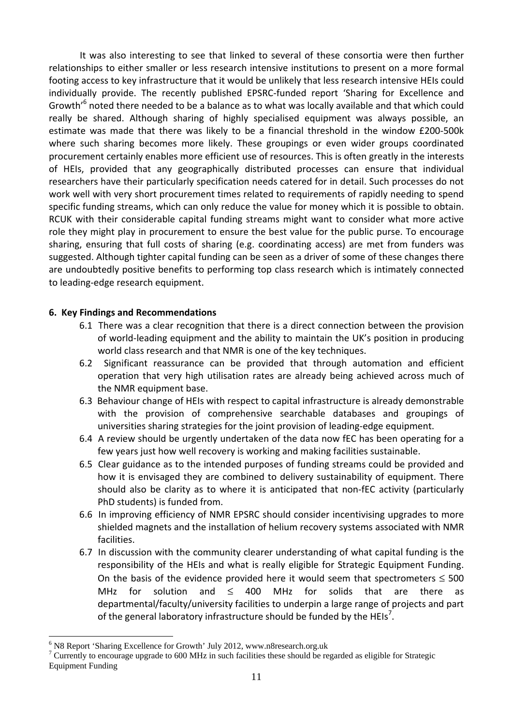It was also interesting to see that linked to several of these consortia were then further relationships to either smaller or less research intensive institutions to present on a more formal footing access to key infrastructure that it would be unlikely that less research intensive HEIs could individually provide. The recently published EPSRC-funded report 'Sharing for Excellence and Growth'<sup>6</sup> noted there needed to be a balance as to what was locally available and that which could really be shared. Although sharing of highly specialised equipment was always possible, an estimate was made that there was likely to be a financial threshold in the window £200-500k where such sharing becomes more likely. These groupings or even wider groups coordinated procurement certainly enables more efficient use of resources. This is often greatly in the interests of HEIs, provided that any geographically distributed processes can ensure that individual researchers have their particularly specification needs catered for in detail. Such processes do not work well with very short procurement times related to requirements of rapidly needing to spend specific funding streams, which can only reduce the value for money which it is possible to obtain. RCUK with their considerable capital funding streams might want to consider what more active role they might play in procurement to ensure the best value for the public purse. To encourage sharing, ensuring that full costs of sharing (e.g. coordinating access) are met from funders was suggested. Although tighter capital funding can be seen as a driver of some of these changes there are undoubtedly positive benefits to performing top class research which is intimately connected to leading-edge research equipment.

# **6. Key Findings and Recommendations**

- 6.1 There was a clear recognition that there is a direct connection between the provision of world-leading equipment and the ability to maintain the UK's position in producing world class research and that NMR is one of the key techniques.
- 6.2 Significant reassurance can be provided that through automation and efficient operation that very high utilisation rates are already being achieved across much of the NMR equipment base.
- 6.3 Behaviour change of HEIs with respect to capital infrastructure is already demonstrable with the provision of comprehensive searchable databases and groupings of universities sharing strategies for the joint provision of leading-edge equipment.
- 6.4 A review should be urgently undertaken of the data now fEC has been operating for a few years just how well recovery is working and making facilities sustainable.
- 6.5 Clear guidance as to the intended purposes of funding streams could be provided and how it is envisaged they are combined to delivery sustainability of equipment. There should also be clarity as to where it is anticipated that non-fEC activity (particularly PhD students) is funded from.
- 6.6 In improving efficiency of NMR EPSRC should consider incentivising upgrades to more shielded magnets and the installation of helium recovery systems associated with NMR facilities.
- 6.7 In discussion with the community clearer understanding of what capital funding is the responsibility of the HEIs and what is really eligible for Strategic Equipment Funding. On the basis of the evidence provided here it would seem that spectrometers  $\leq 500$ MHz for solution and  $\leq$  400 MHz for solids that are there as departmental/faculty/university facilities to underpin a large range of projects and part of the general laboratory infrastructure should be funded by the HEIs<sup>7</sup>.

 $\overline{a}$ 

<sup>&</sup>lt;sup>6</sup> N8 Report 'Sharing Excellence for Growth' July 2012, www.n8research.org.uk

<sup>&</sup>lt;sup>7</sup> Currently to encourage upgrade to 600 MHz in such facilities these should be regarded as eligible for Strategic Equipment Funding